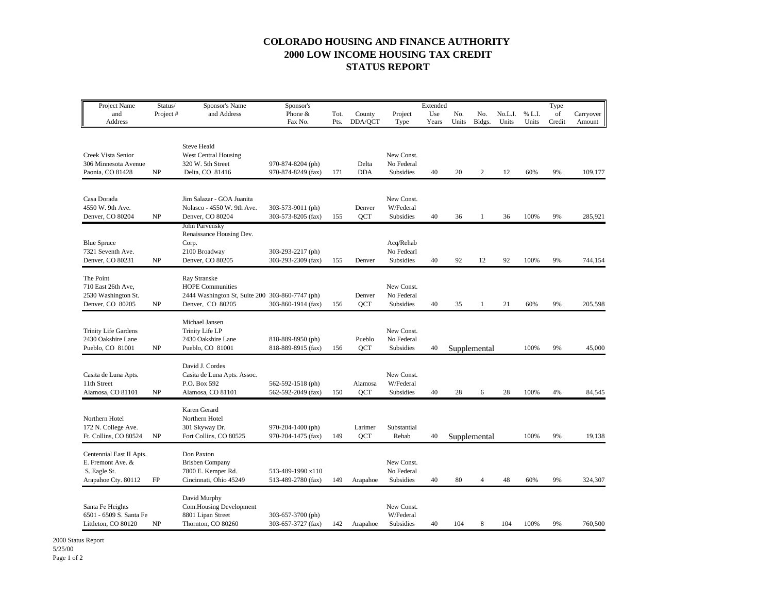## **COLORADO HOUSING AND FINANCE AUTHORITY 2000 LOW INCOME HOUSING TAX CREDIT STATUS REPORT**

| Project Name                                                                         | Status/  | Sponsor's Name                                                                                                 | Sponsor's                               |      |                       |                                       | Extended |       |              |         |        | Type   |           |
|--------------------------------------------------------------------------------------|----------|----------------------------------------------------------------------------------------------------------------|-----------------------------------------|------|-----------------------|---------------------------------------|----------|-------|--------------|---------|--------|--------|-----------|
| and                                                                                  | Project# | and Address                                                                                                    | Phone &                                 | Tot. | County                | Project                               | Use      | No.   | No.          | No.L.I. | % L.I. | of     | Carryover |
| Address                                                                              |          |                                                                                                                | Fax No.                                 | Pts. | DDA/QCT               | Type                                  | Years    | Units | Bldgs.       | Units   | Units  | Credit | Amount    |
| Creek Vista Senior<br>306 Minnesota Avenue<br>Paonia, CO 81428                       | NP       | <b>Steve Heald</b><br><b>West Central Housing</b><br>320 W. 5th Street<br>Delta, CO 81416                      | 970-874-8204 (ph)<br>970-874-8249 (fax) | 171  | Delta<br><b>DDA</b>   | New Const.<br>No Federal<br>Subsidies | 40       | 20    | 2            | 12      | 60%    | 9%     | 109,177   |
| Casa Dorada<br>4550 W. 9th Ave.<br>Denver, CO 80204                                  | NP       | Jim Salazar - GOA Juanita<br>Nolasco - 4550 W. 9th Ave.<br>Denver, CO 80204                                    | 303-573-9011 (ph)<br>303-573-8205 (fax) | 155  | Denver<br>QCT         | New Const.<br>W/Federal<br>Subsidies  | 40       | 36    | 1            | 36      | 100%   | 9%     | 285,921   |
| <b>Blue Spruce</b><br>7321 Seventh Ave.<br>Denver, CO 80231                          | NP       | John Parvensky<br>Renaissance Housing Dev.<br>Corp.<br>2100 Broadway<br>Denver, CO 80205                       | 303-293-2217 (ph)<br>303-293-2309 (fax) | 155  | Denver                | Acq/Rehab<br>No Fedearl<br>Subsidies  | 40       | 92    | 12           | 92      | 100%   | 9%     | 744,154   |
| The Point<br>710 East 26th Ave,<br>2530 Washington St.<br>Denver, CO 80205           | NP       | Ray Stranske<br><b>HOPE Communities</b><br>2444 Washington St, Suite 200 303-860-7747 (ph)<br>Denver, CO 80205 | 303-860-1914 (fax)                      | 156  | Denver<br>QCT         | New Const.<br>No Federal<br>Subsidies | 40       | 35    | 1            | 21      | 60%    | 9%     | 205,598   |
| <b>Trinity Life Gardens</b><br>2430 Oakshire Lane<br>Pueblo, CO 81001                | NP       | Michael Jansen<br>Trinity Life LP<br>2430 Oakshire Lane<br>Pueblo, CO 81001                                    | 818-889-8950 (ph)<br>818-889-8915 (fax) | 156  | Pueblo<br>QCT         | New Const.<br>No Federal<br>Subsidies | 40       |       | Supplemental |         | 100%   | 9%     | 45,000    |
| Casita de Luna Apts.<br>11th Street<br>Alamosa, CO 81101                             | NP       | David J. Cordes<br>Casita de Luna Apts. Assoc.<br>P.O. Box 592<br>Alamosa, CO 81101                            | 562-592-1518 (ph)<br>562-592-2049 (fax) | 150  | Alamosa<br>QCT        | New Const.<br>W/Federal<br>Subsidies  | 40       | 28    | 6            | 28      | 100%   | 4%     | 84,545    |
| Northern Hotel<br>172 N. College Ave.<br>Ft. Collins, CO 80524                       | NP       | Karen Gerard<br>Northern Hotel<br>301 Skyway Dr.<br>Fort Collins, CO 80525                                     | 970-204-1400 (ph)<br>970-204-1475 (fax) | 149  | Larimer<br><b>OCT</b> | Substantial<br>Rehab                  | 40       |       | Supplemental |         | 100%   | 9%     | 19,138    |
| Centennial East II Apts.<br>E. Fremont Ave. &<br>S. Eagle St.<br>Arapahoe Cty. 80112 | FP       | Don Paxton<br><b>Brisben Company</b><br>7800 E. Kemper Rd.<br>Cincinnati, Ohio 45249                           | 513-489-1990 x110<br>513-489-2780 (fax) | 149  | Arapahoe              | New Const.<br>No Federal<br>Subsidies | 40       | 80    | 4            | 48      | 60%    | 9%     | 324,307   |
| Santa Fe Heights<br>6501 - 6509 S. Santa Fe<br>Littleton, CO 80120                   | NP       | David Murphy<br>Com.Housing Development<br>8801 Lipan Street<br>Thornton, CO 80260                             | 303-657-3700 (ph)<br>303-657-3727 (fax) | 142  | Arapahoe              | New Const.<br>W/Federal<br>Subsidies  | 40       | 104   | 8            | 104     | 100%   | 9%     | 760,500   |

2000 Status Report 5/25/00 Page 1 of 2